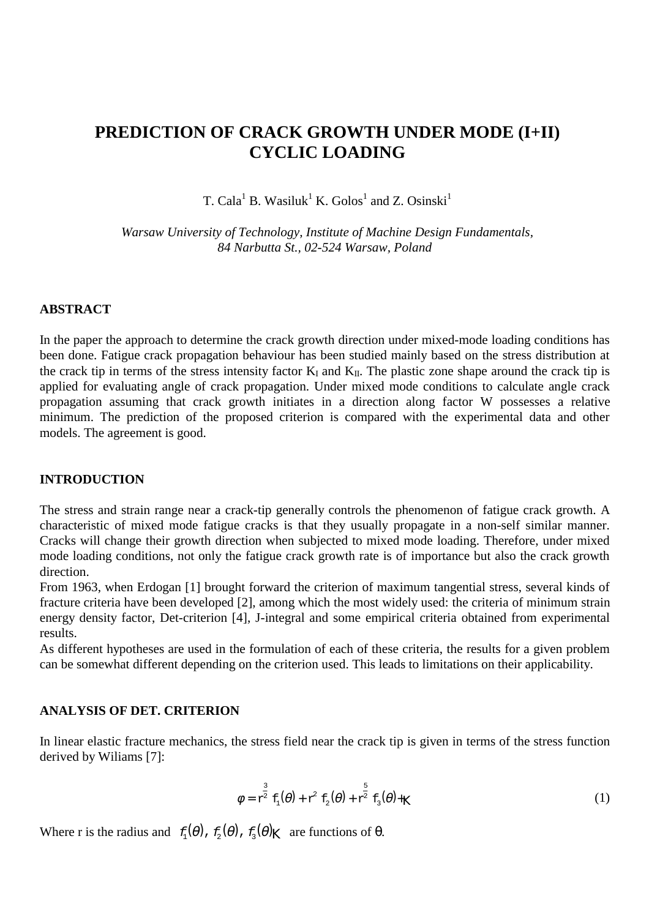# **PREDICTION OF CRACK GROWTH UNDER MODE (I+II) CYCLIC LOADING**

T. Cala<sup>1</sup> B. Wasiluk<sup>1</sup> K. Golos<sup>1</sup> and Z. Osinski<sup>1</sup>

*Warsaw University of Technology, Institute of Machine Design Fundamentals, 84 Narbutta St., 02-524 Warsaw, Poland*

#### **ABSTRACT**

In the paper the approach to determine the crack growth direction under mixed-mode loading conditions has been done. Fatigue crack propagation behaviour has been studied mainly based on the stress distribution at the crack tip in terms of the stress intensity factor  $K_I$  and  $K_{II}$ . The plastic zone shape around the crack tip is applied for evaluating angle of crack propagation. Under mixed mode conditions to calculate angle crack propagation assuming that crack growth initiates in a direction along factor W possesses a relative minimum. The prediction of the proposed criterion is compared with the experimental data and other models. The agreement is good.

#### **INTRODUCTION**

The stress and strain range near a crack-tip generally controls the phenomenon of fatigue crack growth. A characteristic of mixed mode fatigue cracks is that they usually propagate in a non-self similar manner. Cracks will change their growth direction when subjected to mixed mode loading. Therefore, under mixed mode loading conditions, not only the fatigue crack growth rate is of importance but also the crack growth direction.

From 1963, when Erdogan [1] brought forward the criterion of maximum tangential stress, several kinds of fracture criteria have been developed [2], among which the most widely used: the criteria of minimum strain energy density factor, Det-criterion [4], J-integral and some empirical criteria obtained from experimental results.

As different hypotheses are used in the formulation of each of these criteria, the results for a given problem can be somewhat different depending on the criterion used. This leads to limitations on their applicability.

## **ANALYSIS OF DET. CRITERION**

In linear elastic fracture mechanics, the stress field near the crack tip is given in terms of the stress function derived by Wiliams [7]:

$$
\phi = \mathbf{r}^{\frac{3}{2}} \mathbf{f}_1(\theta) + \mathbf{r}^2 \mathbf{f}_2(\theta) + \mathbf{r}^{\frac{5}{2}} \mathbf{f}_3(\theta) + \mathbf{K}
$$
 (1)

Where r is the radius and  $f_1(\theta)$ ,  $f_2(\theta)$ ,  $f_3(\theta)$ <sub>K</sub> are functions of  $\theta$ .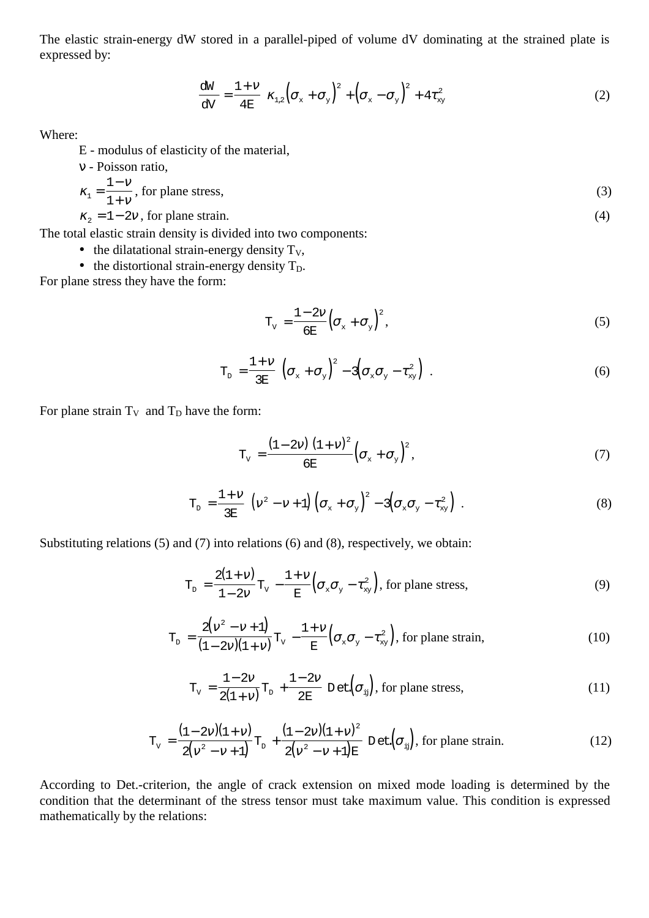The elastic strain-energy dW stored in a parallel-piped of volume dV dominating at the strained plate is expressed by:

$$
\frac{dW}{dV} = \frac{1 + V}{4E} \bigg[ \kappa_{1,2} \bigg( \sigma_x + \sigma_y \bigg)^2 + \bigg( \sigma_x - \sigma_y \bigg)^2 + 4 \tau_{xy}^2 \bigg]
$$
(2)

Where:

E - modulus of elasticity of the material,

v - Poisson ratio,  

$$
\kappa_1 = \frac{1 - v}{1 + v}, \text{ for plane stress},
$$
 (3)

 $\kappa_2 = 1 - 2v$ , for plane strain. (4)

The total elastic strain density is divided into two components:

- the dilatational strain-energy density  $T_v$ ,
- the distortional strain-energy density  $T_D$ .

For plane stress they have the form:

$$
T_{V} = \frac{1 - 2V}{6E} \left( \sigma_{x} + \sigma_{y} \right)^{2}, \qquad (5)
$$

$$
T_{D} = \frac{1 + V}{3E} \left[ \left( \sigma_{x} + \sigma_{y} \right)^{2} - 3 \left( \sigma_{x} \sigma_{y} - \tau_{xy}^{2} \right) \right]. \tag{6}
$$

For plane strain  $T_V$  and  $T_D$  have the form:

$$
T_{V} = \frac{\left(1 - 2V\right)\left(1 + V\right)^{2}}{6E} \left(\sigma_{x} + \sigma_{y}\right)^{2},\tag{7}
$$

$$
T_{D} = \frac{1+\nu}{3E} \left[ \left( v^2 - v + 1 \right) \left( \sigma_x + \sigma_y \right)^2 - 3 \left( \sigma_x \sigma_y - \tau_{xy}^2 \right) \right]. \tag{8}
$$

Substituting relations (5) and (7) into relations (6) and (8), respectively, we obtain:

$$
T_{D} = \frac{2(1+\nu)}{1-2\nu}T_{V} - \frac{1+\nu}{E}\left(\sigma_{x}\sigma_{y} - \tau_{xy}^{2}\right), \text{ for plane stress},
$$
\n(9)

$$
T_{D} = \frac{2(v^2 - v + 1)}{(1 - 2v)(1 + v)} T_{V} - \frac{1 + v}{E} \left(\sigma_{x}\sigma_{y} - \tau_{xy}^{2}\right), \text{ for plane strain,}
$$
\n(10)

$$
T_{v} = \frac{1 - 2v}{2(1 + v)} T_{p} + \frac{1 - 2v}{2E} \text{ Det}(\sigma_{ij}), \text{ for plane stress},
$$
\n(11)

$$
T_{v} = \frac{(1 - 2v)(1 + v)}{2(v^{2} - v + 1)} T_{D} + \frac{(1 - 2v)(1 + v)^{2}}{2(v^{2} - v + 1)E} D \text{ et } (\sigma_{ij}), \text{ for plane strain.}
$$
 (12)

According to Det.-criterion, the angle of crack extension on mixed mode loading is determined by the condition that the determinant of the stress tensor must take maximum value. This condition is expressed mathematically by the relations: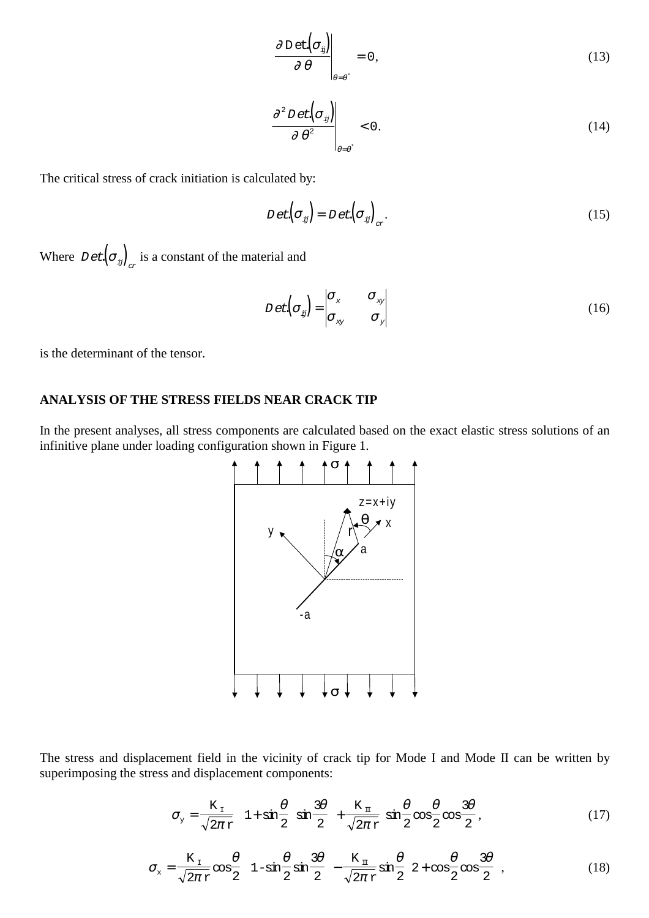$$
\left. \frac{\partial \operatorname{Det}(\sigma_{ij})}{\partial \theta} \right|_{\theta = \theta^*} = 0, \tag{13}
$$

$$
\left. \frac{\partial^2 D \, \text{et} \big( \sigma_{ij} \big)}{\partial \, \theta^2} \right|_{\theta = \theta^*} < 0. \tag{14}
$$

The critical stress of crack initiation is calculated by:

$$
D \, \text{et} \left( \sigma_{ij} \right) = D \, \text{et} \left( \sigma_{ij} \right)_{\alpha} . \tag{15}
$$

Where  $D$  et  $(\sigma_{ij})$ <sub>x</sub> is a constant of the material and

$$
D \, \text{et} \left( \sigma_{ij} \right) = \begin{vmatrix} \sigma_{x} & \sigma_{xy} \\ \sigma_{xy} & \sigma_{y} \end{vmatrix} \tag{16}
$$

is the determinant of the tensor.

## **ANALYSIS OF THE STRESS FIELDS NEAR CRACK TIP**

In the present analyses, all stress components are calculated based on the exact elastic stress solutions of an infinitive plane under loading configuration shown in Figure 1.



The stress and displacement field in the vicinity of crack tip for Mode I and Mode II can be written by superimposing the stress and displacement components:

$$
\sigma_{y} = \frac{K_{\text{I}}}{\sqrt{2\pi} \, \text{r}} \left[ 1 + \sin\frac{\theta}{2} \, \sin\frac{3\theta}{2} \right] + \frac{K_{\text{I}}}{\sqrt{2\pi} \, \text{r}} \, \sin\frac{\theta}{2} \cos\frac{\theta}{2} \cos\frac{3\theta}{2}, \tag{17}
$$

$$
\sigma_{x} = \frac{K_{1}}{\sqrt{2\pi}r} \cos\frac{\theta}{2} \left[ 1 - \sin\frac{\theta}{2} \sin\frac{3\theta}{2} \right] - \frac{K_{1}}{\sqrt{2\pi}r} \sin\frac{\theta}{2} \left[ 2 + \cos\frac{\theta}{2} \cos\frac{3\theta}{2} \right],
$$
(18)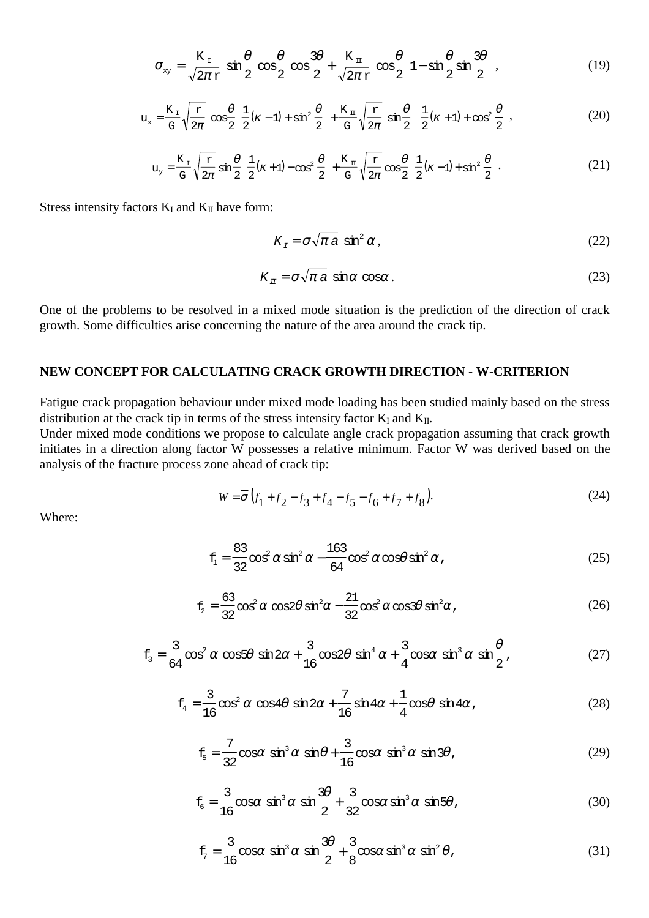$$
\sigma_{xy} = \frac{K_{\perp}}{\sqrt{2\pi}r} \sin\frac{\theta}{2} \cos\frac{\theta}{2} \cos\frac{3\theta}{2} + \frac{K_{\perp}}{\sqrt{2\pi}r} \cos\frac{\theta}{2} \left[1 - \sin\frac{\theta}{2} \sin\frac{3\theta}{2}\right],
$$
 (19)

$$
u_x = \frac{K_x}{G} \sqrt{\frac{r}{2\pi}} \cos{\frac{\theta}{2}} \left[ \frac{1}{2} (k-1) + \sin^2{\frac{\theta}{2}} \right] + \frac{K_x}{G} \sqrt{\frac{r}{2\pi}} \sin{\frac{\theta}{2}} \left[ \frac{1}{2} (k+1) + \cos^2{\frac{\theta}{2}} \right],
$$
(20)

$$
u_y = \frac{K_y}{G} \sqrt{\frac{r}{2\pi}} \sin{\frac{\theta}{2}} \left[ \frac{1}{2} (\kappa + 1) - \cos^2{\frac{\theta}{2}} \right] + \frac{K_y}{G} \sqrt{\frac{r}{2\pi}} \cos{\frac{\theta}{2}} \left[ \frac{1}{2} (\kappa - 1) + \sin^2{\frac{\theta}{2}} \right].
$$
 (21)

Stress intensity factors  $K_I$  and  $K_{II}$  have form:

$$
K_{I} = \sigma \sqrt{\pi a} \sin^{2} \alpha, \qquad (22)
$$

$$
K_{\pi} = \sigma \sqrt{\pi} \, a \, \sin \alpha \, \cos \alpha \,. \tag{23}
$$

One of the problems to be resolved in a mixed mode situation is the prediction of the direction of crack growth. Some difficulties arise concerning the nature of the area around the crack tip.

### **NEW CONCEPT FOR CALCULATING CRACK GROWTH DIRECTION - W-CRITERION**

Fatigue crack propagation behaviour under mixed mode loading has been studied mainly based on the stress distribution at the crack tip in terms of the stress intensity factor  $K_I$  and  $K_{II}$ .

Under mixed mode conditions we propose to calculate angle crack propagation assuming that crack growth initiates in a direction along factor W possesses a relative minimum. Factor W was derived based on the analysis of the fracture process zone ahead of crack tip:

$$
W = \overline{\sigma} \left( f_1 + f_2 - f_3 + f_4 - f_5 - f_6 + f_7 + f_8 \right). \tag{24}
$$

Where:

$$
f_1 = \frac{83}{32} \cos^2 \alpha \sin^2 \alpha - \frac{163}{64} \cos^2 \alpha \cos \theta \sin^2 \alpha ,
$$
 (25)

$$
f_2 = \frac{63}{32} \cos^2 \alpha \, \cos 2\theta \, \sin^2 \alpha - \frac{21}{32} \cos^2 \alpha \, \cos 3\theta \, \sin^2 \alpha \,, \tag{26}
$$

$$
f_3 = \frac{3}{64} \cos^2 \alpha \, \cos 5\theta \, \sin 2\alpha + \frac{3}{16} \cos 2\theta \, \sin^4 \alpha + \frac{3}{4} \cos \alpha \, \sin^3 \alpha \, \sin \frac{\theta}{2} \,, \tag{27}
$$

$$
f_4 = \frac{3}{16} \cos^2 \alpha \cos 4\theta \sin 2\alpha + \frac{7}{16} \sin 4\alpha + \frac{1}{4} \cos \theta \sin 4\alpha ,
$$
 (28)

$$
f_5 = \frac{7}{32} \cos \alpha \sin^3 \alpha \sin \theta + \frac{3}{16} \cos \alpha \sin^3 \alpha \sin 3\theta,
$$
 (29)

$$
f_6 = \frac{3}{16} \cos \alpha \sin^3 \alpha \sin \frac{3\theta}{2} + \frac{3}{32} \cos \alpha \sin^3 \alpha \sin 5\theta,
$$
 (30)

$$
f_{7} = \frac{3}{16} \cos \alpha \sin^{3} \alpha \sin \frac{3\theta}{2} + \frac{3}{8} \cos \alpha \sin^{3} \alpha \sin^{2} \theta,
$$
 (31)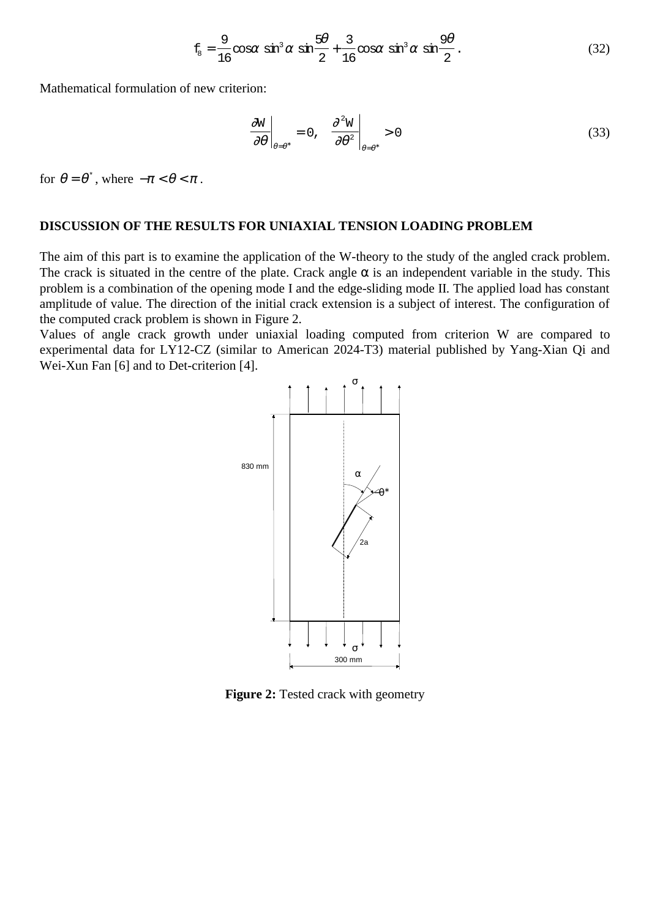$$
f_8 = \frac{9}{16} \cos \alpha \sin^3 \alpha \sin \frac{5\theta}{2} + \frac{3}{16} \cos \alpha \sin^3 \alpha \sin \frac{9\theta}{2}.
$$
 (32)

Mathematical formulation of new criterion:

$$
\left. \frac{\partial \mathbf{W}}{\partial \theta} \right|_{\theta = \theta^*} = 0, \quad \left. \frac{\partial^2 \mathbf{W}}{\partial \theta^2} \right|_{\theta = \theta^*} > 0 \tag{33}
$$

for  $\theta = \theta^*$ , where  $-\pi < \theta < \pi$ .

### **DISCUSSION OF THE RESULTS FOR UNIAXIAL TENSION LOADING PROBLEM**

The aim of this part is to examine the application of the W-theory to the study of the angled crack problem. The crack is situated in the centre of the plate. Crack angle  $\alpha$  is an independent variable in the study. This problem is a combination of the opening mode I and the edge-sliding mode II. The applied load has constant amplitude of value. The direction of the initial crack extension is a subject of interest. The configuration of the computed crack problem is shown in Figure 2.

Values of angle crack growth under uniaxial loading computed from criterion W are compared to experimental data for LY12-CZ (similar to American 2024-T3) material published by Yang-Xian Qi and Wei-Xun Fan [6] and to Det-criterion [4].



**Figure 2:** Tested crack with geometry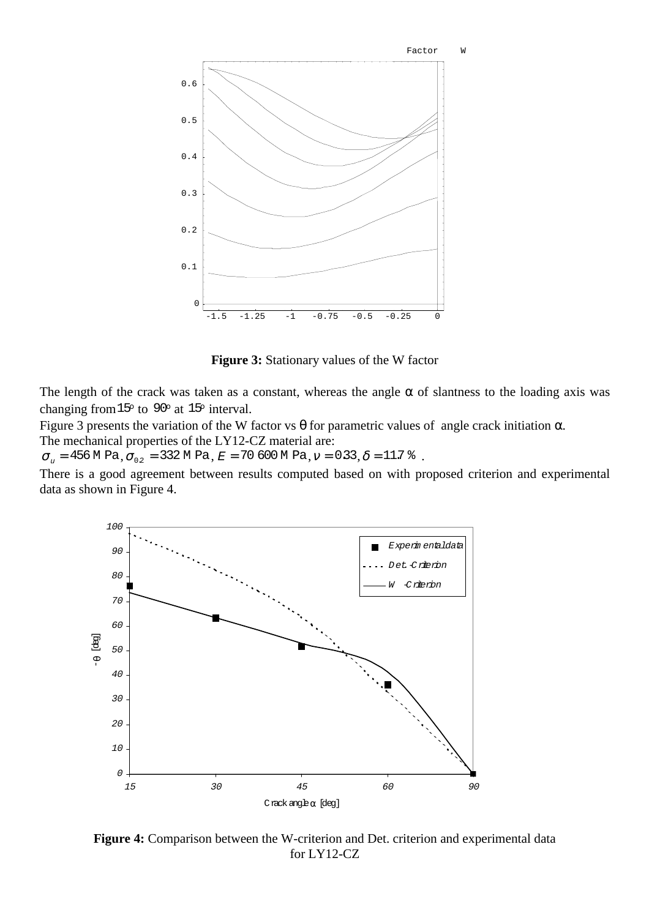

**Figure 3:** Stationary values of the W factor

The length of the crack was taken as a constant, whereas the angle  $\alpha$  of slantness to the loading axis was changing from  $15^{\circ}$  to  $90^{\circ}$  at  $15^{\circ}$  interval.

Figure 3 presents the variation of the W factor vs  $\theta$  for parametric values of angle crack initiation  $\alpha$ . The mechanical properties of the LY12-CZ material are:

 $\sigma_{v}$  = 456 M Pa,  $\sigma_{0.2}$  = 332 M Pa,  $E$  = 70 600 M Pa,  $v$  = 0.33,  $\delta$  = 11.7  $\delta$ .

There is a good agreement between results computed based on with proposed criterion and experimental data as shown in Figure 4.



**Figure 4:** Comparison between the W-criterion and Det. criterion and experimental data for LY12-CZ